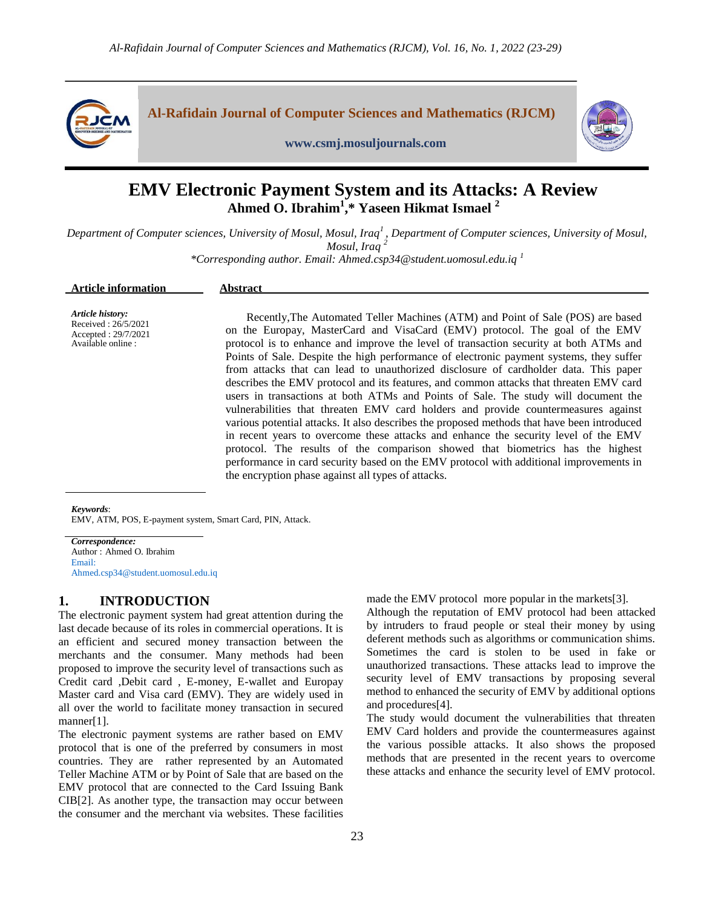



#### **www.csmj.mosuljournals.com**

# **EMV Electronic Payment System and its Attacks: A Review Ahmed O. Ibrahim<sup>1</sup> ,\* Yaseen Hikmat Ismael <sup>2</sup>**

*Department of Computer sciences, University of Mosul, Mosul, Iraq<sup>1</sup> , Department of Computer sciences, University of Mosul, Mosul, Iraq <sup>2</sup>*

*\*Corresponding author. Email: Ahmed.csp34@student.uomosul.edu.iq <sup>1</sup>*

| <b>Article information</b> | Abstract |
|----------------------------|----------|
|                            |          |

*Article history:* Received : 26/5/2021 Accepted : 29/7/2021 Available online :

Recently,The Automated Teller Machines (ATM) and Point of Sale (POS) are based on the Europay, MasterCard and VisaCard (EMV) protocol. The goal of the EMV protocol is to enhance and improve the level of transaction security at both ATMs and Points of Sale. Despite the high performance of electronic payment systems, they suffer from attacks that can lead to unauthorized disclosure of cardholder data. This paper describes the EMV protocol and its features, and common attacks that threaten EMV card users in transactions at both ATMs and Points of Sale. The study will document the vulnerabilities that threaten EMV card holders and provide countermeasures against various potential attacks. It also describes the proposed methods that have been introduced in recent years to overcome these attacks and enhance the security level of the EMV protocol. The results of the comparison showed that biometrics has the highest performance in card security based on the EMV protocol with additional improvements in the encryption phase against all types of attacks.

*Keywords*:

EMV, ATM, POS, E-payment system, Smart Card, PIN, Attack.

*Correspondence:* Author : Ahmed O. Ibrahim Email: Ahmed.csp34@student.uomosul.edu.iq

# **1. INTRODUCTION**

The electronic payment system had great attention during the last decade because of its roles in commercial operations. It is an efficient and secured money transaction between the merchants and the consumer. Many methods had been proposed to improve the security level of transactions such as Credit card ,Debit card , E-money, E-wallet and Europay Master card and Visa card (EMV). They are widely used in all over the world to facilitate money transaction in secured manner[1].

The electronic payment systems are rather based on EMV protocol that is one of the preferred by consumers in most countries. They are rather represented by an Automated Teller Machine ATM or by Point of Sale that are based on the EMV protocol that are connected to the Card Issuing Bank CIB[2]. As another type, the transaction may occur between the consumer and the merchant via websites. These facilities made the EMV protocol more popular in the markets[3].

Although the reputation of EMV protocol had been attacked by intruders to fraud people or steal their money by using deferent methods such as algorithms or communication shims. Sometimes the card is stolen to be used in fake or unauthorized transactions. These attacks lead to improve the security level of EMV transactions by proposing several method to enhanced the security of EMV by additional options and procedures[4].

The study would document the vulnerabilities that threaten EMV Card holders and provide the countermeasures against the various possible attacks. It also shows the proposed methods that are presented in the recent years to overcome these attacks and enhance the security level of EMV protocol.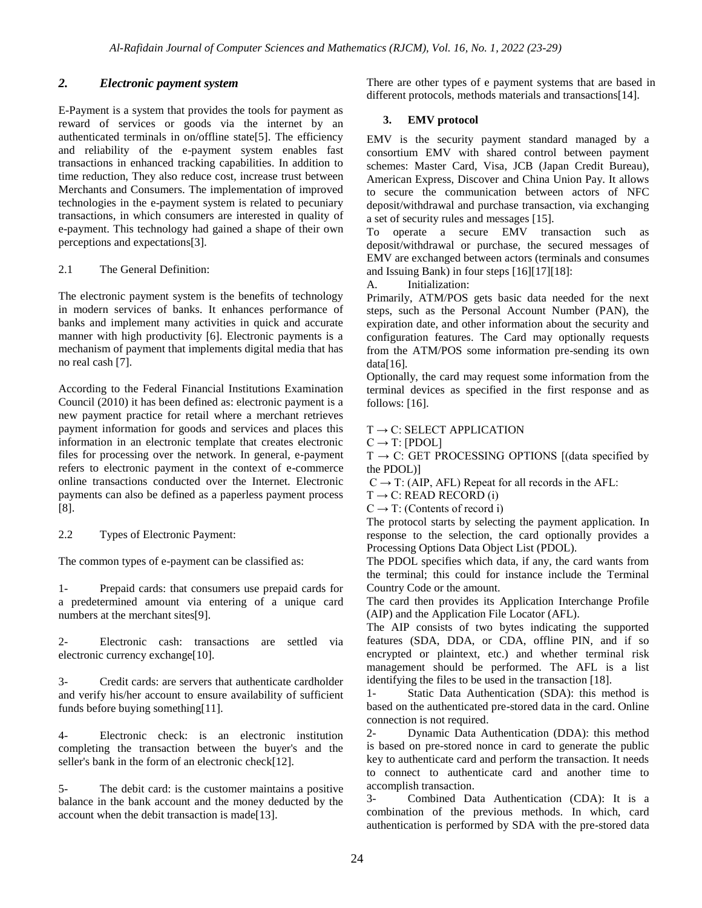# *2. Electronic payment system*

E-Payment is a system that provides the tools for payment as reward of services or goods via the internet by an authenticated terminals in on/offline state[5]. The efficiency and reliability of the e-payment system enables fast transactions in enhanced tracking capabilities. In addition to time reduction, They also reduce cost, increase trust between Merchants and Consumers. The implementation of improved technologies in the e-payment system is related to pecuniary transactions, in which consumers are interested in quality of e-payment. This technology had gained a shape of their own perceptions and expectations[3].

## 2.1 The General Definition:

The electronic payment system is the benefits of technology in modern services of banks. It enhances performance of banks and implement many activities in quick and accurate manner with high productivity [6]. Electronic payments is a mechanism of payment that implements digital media that has no real cash [7].

According to the Federal Financial Institutions Examination Council (2010) it has been defined as: electronic payment is a new payment practice for retail where a merchant retrieves payment information for goods and services and places this information in an electronic template that creates electronic files for processing over the network. In general, e-payment refers to electronic payment in the context of e-commerce online transactions conducted over the Internet. Electronic payments can also be defined as a paperless payment process [8].

2.2 Types of Electronic Payment:

The common types of e-payment can be classified as:

1- Prepaid cards: that consumers use prepaid cards for a predetermined amount via entering of a unique card numbers at the merchant sites[9].

2- Electronic cash: transactions are settled via electronic currency exchange[10].

3- Credit cards: are servers that authenticate cardholder and verify his/her account to ensure availability of sufficient funds before buying something[11].

4- Electronic check: is an electronic institution completing the transaction between the buyer's and the seller's bank in the form of an electronic check[12].

5- The debit card: is the customer maintains a positive balance in the bank account and the money deducted by the account when the debit transaction is made[13].

There are other types of e payment systems that are based in different protocols, methods materials and transactions[14].

# **3. EMV protocol**

EMV is the security payment standard managed by a consortium EMV with shared control between payment schemes: Master Card, Visa, JCB (Japan Credit Bureau), American Express, Discover and China Union Pay. It allows to secure the communication between actors of NFC deposit/withdrawal and purchase transaction, via exchanging a set of security rules and messages [15].

To operate a secure EMV transaction such as deposit/withdrawal or purchase, the secured messages of EMV are exchanged between actors (terminals and consumes and Issuing Bank) in four steps [16][17][18]:

A. Initialization:

Primarily, ATM/POS gets basic data needed for the next steps, such as the Personal Account Number (PAN), the expiration date, and other information about the security and configuration features. The Card may optionally requests from the ATM/POS some information pre-sending its own  $data[16]$ .

Optionally, the card may request some information from the terminal devices as specified in the first response and as follows: [16].

# $T \rightarrow C$ : SELECT APPLICATION

 $C \rightarrow T: [PDOL]$ 

 $T \rightarrow C$ : GET PROCESSING OPTIONS [(data specified by the PDOL)]

 $C \rightarrow T$ : (AIP, AFL) Repeat for all records in the AFL:

 $T \rightarrow C$ : READ RECORD (i)

 $C \rightarrow T$ : (Contents of record i)

The protocol starts by selecting the payment application. In response to the selection, the card optionally provides a Processing Options Data Object List (PDOL).

The PDOL specifies which data, if any, the card wants from the terminal; this could for instance include the Terminal Country Code or the amount.

The card then provides its Application Interchange Profile (AIP) and the Application File Locator (AFL).

The AIP consists of two bytes indicating the supported features (SDA, DDA, or CDA, offline PIN, and if so encrypted or plaintext, etc.) and whether terminal risk management should be performed. The AFL is a list identifying the files to be used in the transaction [18].

1- Static Data Authentication (SDA): this method is based on the authenticated pre-stored data in the card. Online connection is not required.

2- Dynamic Data Authentication (DDA): this method is based on pre-stored nonce in card to generate the public key to authenticate card and perform the transaction. It needs to connect to authenticate card and another time to accomplish transaction.

3- Combined Data Authentication (CDA): It is a combination of the previous methods. In which, card authentication is performed by SDA with the pre-stored data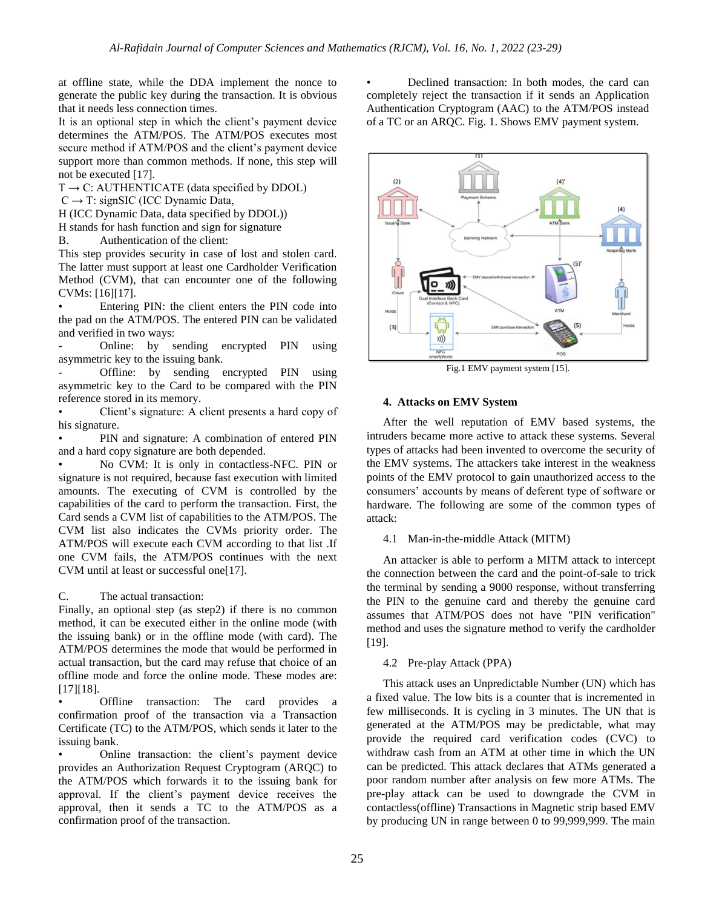at offline state, while the DDA implement the nonce to generate the public key during the transaction. It is obvious that it needs less connection times.

It is an optional step in which the client's payment device determines the ATM/POS. The ATM/POS executes most secure method if ATM/POS and the client's payment device support more than common methods. If none, this step will not be executed [17].

 $T \rightarrow C$ : AUTHENTICATE (data specified by DDOL)

 $C \rightarrow T$ : signSIC (ICC Dynamic Data,

H (ICC Dynamic Data, data specified by DDOL))

H stands for hash function and sign for signature

B. Authentication of the client:

This step provides security in case of lost and stolen card. The latter must support at least one Cardholder Verification Method (CVM), that can encounter one of the following CVMs: [16][17].

Entering PIN: the client enters the PIN code into the pad on the ATM/POS. The entered PIN can be validated and verified in two ways:

Online: by sending encrypted PIN using asymmetric key to the issuing bank.

Offline: by sending encrypted PIN using asymmetric key to the Card to be compared with the PIN reference stored in its memory.

• Client's signature: A client presents a hard copy of his signature.

PIN and signature: A combination of entered PIN and a hard copy signature are both depended.

• No CVM: It is only in contactless-NFC. PIN or signature is not required, because fast execution with limited amounts. The executing of CVM is controlled by the capabilities of the card to perform the transaction. First, the Card sends a CVM list of capabilities to the ATM/POS. The CVM list also indicates the CVMs priority order. The ATM/POS will execute each CVM according to that list .If one CVM fails, the ATM/POS continues with the next CVM until at least or successful one[17].

C. The actual transaction:

Finally, an optional step (as step2) if there is no common method, it can be executed either in the online mode (with the issuing bank) or in the offline mode (with card). The ATM/POS determines the mode that would be performed in actual transaction, but the card may refuse that choice of an offline mode and force the online mode. These modes are: [17][18].

• Offline transaction: The card provides a confirmation proof of the transaction via a Transaction Certificate (TC) to the ATM/POS, which sends it later to the issuing bank.

• Online transaction: the client's payment device provides an Authorization Request Cryptogram (ARQC) to the ATM/POS which forwards it to the issuing bank for approval. If the client's payment device receives the approval, then it sends a TC to the ATM/POS as a confirmation proof of the transaction.

• Declined transaction: In both modes, the card can completely reject the transaction if it sends an Application Authentication Cryptogram (AAC) to the ATM/POS instead of a TC or an ARQC. Fig. 1. Shows EMV payment system.



Fig.1 EMV payment system [15].

#### **4. Attacks on EMV System**

After the well reputation of EMV based systems, the intruders became more active to attack these systems. Several types of attacks had been invented to overcome the security of the EMV systems. The attackers take interest in the weakness points of the EMV protocol to gain unauthorized access to the consumers' accounts by means of deferent type of software or hardware. The following are some of the common types of attack:

#### 4.1 Man-in-the-middle Attack (MITM)

An attacker is able to perform a MITM attack to intercept the connection between the card and the point-of-sale to trick the terminal by sending a 9000 response, without transferring the PIN to the genuine card and thereby the genuine card assumes that ATM/POS does not have "PIN verification" method and uses the signature method to verify the cardholder [19].

## 4.2 Pre-play Attack (PPA)

This attack uses an Unpredictable Number (UN) which has a fixed value. The low bits is a counter that is incremented in few milliseconds. It is cycling in 3 minutes. The UN that is generated at the ATM/POS may be predictable, what may provide the required card verification codes (CVC) to withdraw cash from an ATM at other time in which the UN can be predicted. This attack declares that ATMs generated a poor random number after analysis on few more ATMs. The pre-play attack can be used to downgrade the CVM in contactless(offline) Transactions in Magnetic strip based EMV by producing UN in range between 0 to 99,999,999. The main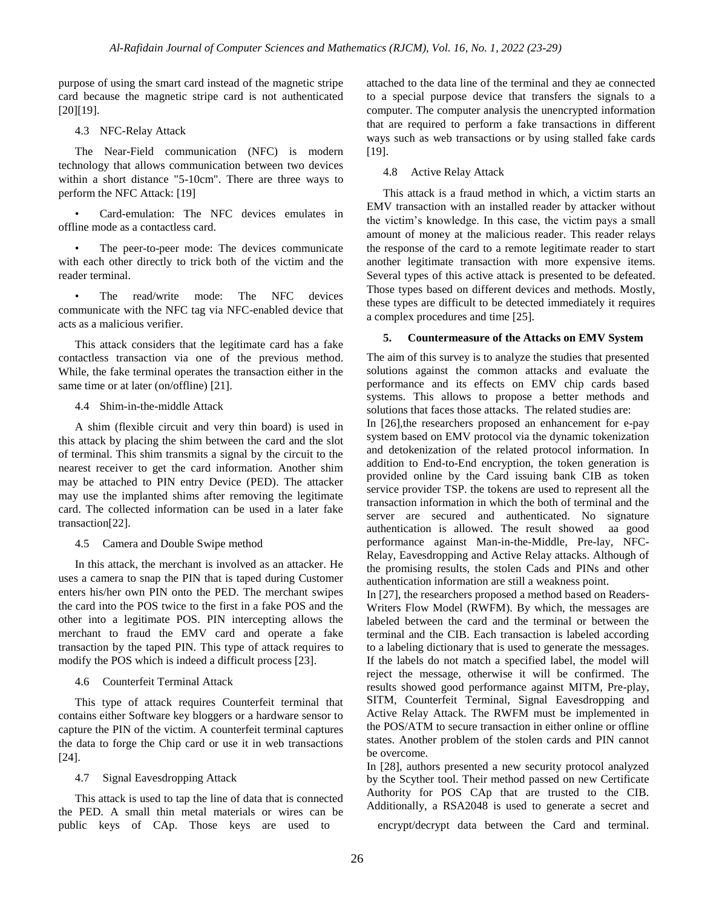purpose of using the smart card instead of the magnetic stripe card because the magnetic stripe card is not authenticated [20][19].

4.3 NFC-Relay Attack

The Near-Field communication (NFC) is modern technology that allows communication between two devices within a short distance "5-10cm". There are three ways to perform the NFC Attack: [19]

• Card-emulation: The NFC devices emulates in offline mode as a contactless card.

The peer-to-peer mode: The devices communicate with each other directly to trick both of the victim and the reader terminal.

The read/write mode: The NFC devices communicate with the NFC tag via NFC-enabled device that acts as a malicious verifier.

This attack considers that the legitimate card has a fake contactless transaction via one of the previous method. While, the fake terminal operates the transaction either in the same time or at later (on/offline) [21].

4.4 Shim-in-the-middle Attack

A shim (flexible circuit and very thin board) is used in this attack by placing the shim between the card and the slot of terminal. This shim transmits a signal by the circuit to the nearest receiver to get the card information. Another shim may be attached to PIN entry Device (PED). The attacker may use the implanted shims after removing the legitimate card. The collected information can be used in a later fake transaction[22].

4.5 Camera and Double Swipe method

In this attack, the merchant is involved as an attacker. He uses a camera to snap the PIN that is taped during Customer enters his/her own PIN onto the PED. The merchant swipes the card into the POS twice to the first in a fake POS and the other into a legitimate POS. PIN intercepting allows the merchant to fraud the EMV card and operate a fake transaction by the taped PIN. This type of attack requires to modify the POS which is indeed a difficult process [23].

4.6 Counterfeit Terminal Attack

This type of attack requires Counterfeit terminal that contains either Software key bloggers or a hardware sensor to capture the PIN of the victim. A counterfeit terminal captures the data to forge the Chip card or use it in web transactions [24].

4.7 Signal Eavesdropping Attack

This attack is used to tap the line of data that is connected the PED. A small thin metal materials or wires can be public keys of CAp. Those keys are used to encrypt/decrypt data between the Card and terminal.

attached to the data line of the terminal and they ae connected to a special purpose device that transfers the signals to a computer. The computer analysis the unencrypted information that are required to perform a fake transactions in different ways such as web transactions or by using stalled fake cards [19].

#### 4.8 Active Relay Attack

This attack is a fraud method in which, a victim starts an EMV transaction with an installed reader by attacker without the victim's knowledge. In this case, the victim pays a small amount of money at the malicious reader. This reader relays the response of the card to a remote legitimate reader to start another legitimate transaction with more expensive items. Several types of this active attack is presented to be defeated. Those types based on different devices and methods. Mostly, these types are difficult to be detected immediately it requires a complex procedures and time [25].

## **5. Countermeasure of the Attacks on EMV System**

The aim of this survey is to analyze the studies that presented solutions against the common attacks and evaluate the performance and its effects on EMV chip cards based systems. This allows to propose a better methods and solutions that faces those attacks. The related studies are:

In [26],the researchers proposed an enhancement for e-pay system based on EMV protocol via the dynamic tokenization and detokenization of the related protocol information. In addition to End-to-End encryption, the token generation is provided online by the Card issuing bank CIB as token service provider TSP. the tokens are used to represent all the transaction information in which the both of terminal and the server are secured and authenticated. No signature authentication is allowed. The result showed aa good performance against Man-in-the-Middle, Pre-lay, NFC-Relay, Eavesdropping and Active Relay attacks. Although of the promising results, the stolen Cads and PINs and other authentication information are still a weakness point.

In [27], the researchers proposed a method based on Readers-Writers Flow Model (RWFM). By which, the messages are labeled between the card and the terminal or between the terminal and the CIB. Each transaction is labeled according to a labeling dictionary that is used to generate the messages. If the labels do not match a specified label, the model will reject the message, otherwise it will be confirmed. The results showed good performance against MITM, Pre-play, SITM, Counterfeit Terminal, Signal Eavesdropping and Active Relay Attack. The RWFM must be implemented in the POS/ATM to secure transaction in either online or offline states. Another problem of the stolen cards and PIN cannot be overcome.

In [28], authors presented a new security protocol analyzed by the Scyther tool. Their method passed on new Certificate Authority for POS CAp that are trusted to the CIB. Additionally, a RSA2048 is used to generate a secret and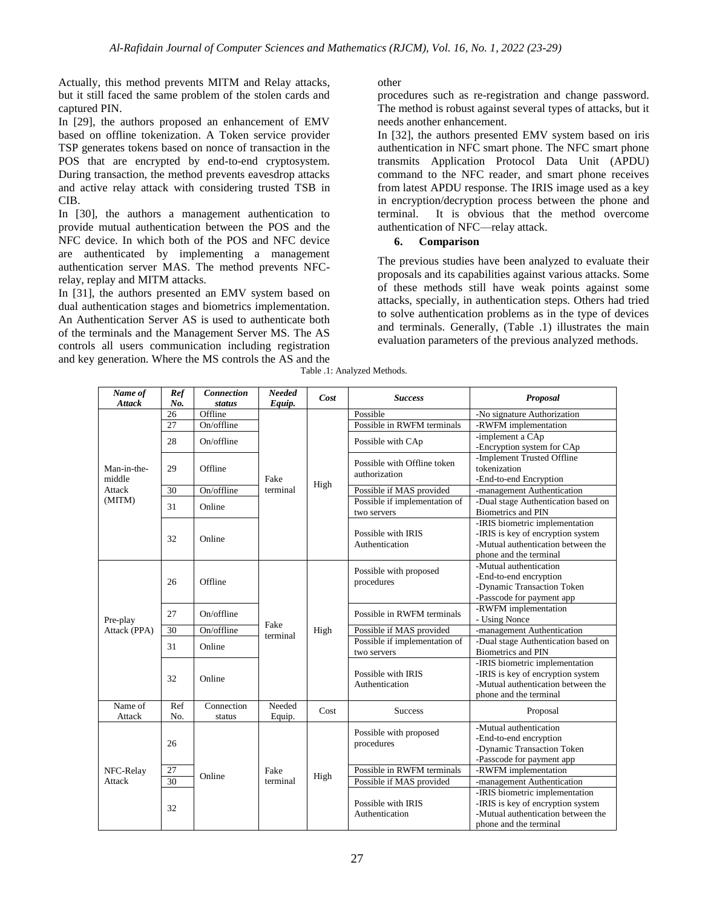Actually, this method prevents MITM and Relay attacks, but it still faced the same problem of the stolen cards and captured PIN.

In [29], the authors proposed an enhancement of EMV based on offline tokenization. A Token service provider TSP generates tokens based on nonce of transaction in the POS that are encrypted by end-to-end cryptosystem. During transaction, the method prevents eavesdrop attacks and active relay attack with considering trusted TSB in CIB.

In [30], the authors a management authentication to provide mutual authentication between the POS and the NFC device. In which both of the POS and NFC device are authenticated by implementing a management authentication server MAS. The method prevents NFCrelay, replay and MITM attacks.

In [31], the authors presented an EMV system based on dual authentication stages and biometrics implementation. An Authentication Server AS is used to authenticate both of the terminals and the Management Server MS. The AS controls all users communication including registration and key generation. Where the MS controls the AS and the

## other

procedures such as re-registration and change password. The method is robust against several types of attacks, but it needs another enhancement.

In [32], the authors presented EMV system based on iris authentication in NFC smart phone. The NFC smart phone transmits Application Protocol Data Unit (APDU) command to the NFC reader, and smart phone receives from latest APDU response. The IRIS image used as a key in encryption/decryption process between the phone and terminal. It is obvious that the method overcome authentication of NFC—relay attack.

# **6. Comparison**

The previous studies have been analyzed to evaluate their proposals and its capabilities against various attacks. Some of these methods still have weak points against some attacks, specially, in authentication steps. Others had tried to solve authentication problems as in the type of devices and terminals. Generally, (Table .1) illustrates the main evaluation parameters of the previous analyzed methods.

| Name of<br><b>Attack</b>                  | Ref<br>No. | <b>Connection</b><br><b>status</b> | Needed<br>Equip. | Cost                                 | <b>Success</b>                                                                                              | Proposal                                                                                                                            |
|-------------------------------------------|------------|------------------------------------|------------------|--------------------------------------|-------------------------------------------------------------------------------------------------------------|-------------------------------------------------------------------------------------------------------------------------------------|
| Man-in-the-<br>middle<br>Attack<br>(MITM) | 26         | Offline                            | Fake<br>terminal | High                                 | Possible                                                                                                    | -No signature Authorization                                                                                                         |
|                                           | 27         | On/offline                         |                  |                                      | Possible in RWFM terminals                                                                                  | -RWFM implementation                                                                                                                |
|                                           | 28         | On/offline                         |                  |                                      | Possible with CAp                                                                                           | -implement a CAp<br>-Encryption system for CAp                                                                                      |
|                                           | 29         | Offline                            |                  |                                      | Possible with Offline token<br>authorization                                                                | -Implement Trusted Offline<br>tokenization<br>-End-to-end Encryption                                                                |
|                                           | 30         | On/offline                         |                  |                                      | Possible if MAS provided                                                                                    | -management Authentication                                                                                                          |
|                                           | 31         | Online                             |                  |                                      | Possible if implementation of<br>two servers                                                                | -Dual stage Authentication based on<br><b>Biometrics and PIN</b>                                                                    |
|                                           | 32         | Online                             |                  |                                      | Possible with IRIS<br>Authentication                                                                        | -IRIS biometric implementation<br>-IRIS is key of encryption system<br>-Mutual authentication between the<br>phone and the terminal |
| Pre-play                                  | 26         | Offline                            | Fake<br>terminal |                                      | Possible with proposed<br>procedures                                                                        | -Mutual authentication<br>-End-to-end encryption<br>-Dynamic Transaction Token<br>-Passcode for payment app                         |
|                                           | 27         | On/offline                         |                  |                                      | Possible in RWFM terminals                                                                                  | -RWFM implementation<br>- Using Nonce                                                                                               |
| Attack (PPA)                              | 30         | On/offline                         |                  | High                                 | Possible if MAS provided                                                                                    | -management Authentication                                                                                                          |
|                                           | 31         | Online                             |                  |                                      | Possible if implementation of<br>two servers                                                                | -Dual stage Authentication based on<br><b>Biometrics and PIN</b>                                                                    |
|                                           | 32         | Online                             |                  |                                      | Possible with IRIS<br>Authentication                                                                        | -IRIS biometric implementation<br>-IRIS is key of encryption system<br>-Mutual authentication between the<br>phone and the terminal |
| Name of                                   | Ref        | Connection                         | Needed           | Cost                                 | <b>Success</b>                                                                                              | Proposal                                                                                                                            |
| Attack                                    | No.        | status                             | Equip.           |                                      |                                                                                                             |                                                                                                                                     |
| NFC-Relay<br>Attack                       | 26         |                                    |                  | Possible with proposed<br>procedures | -Mutual authentication<br>-End-to-end encryption<br>-Dynamic Transaction Token<br>-Passcode for payment app |                                                                                                                                     |
|                                           | 27         | Online                             | Fake<br>terminal | High                                 | Possible in RWFM terminals                                                                                  | -RWFM implementation                                                                                                                |
|                                           | 30         |                                    |                  |                                      | Possible if MAS provided                                                                                    | -management Authentication                                                                                                          |
|                                           | 32         |                                    |                  |                                      | Possible with IRIS<br>Authentication                                                                        | -IRIS biometric implementation<br>-IRIS is key of encryption system<br>-Mutual authentication between the<br>phone and the terminal |

Table .1: Analyzed Methods.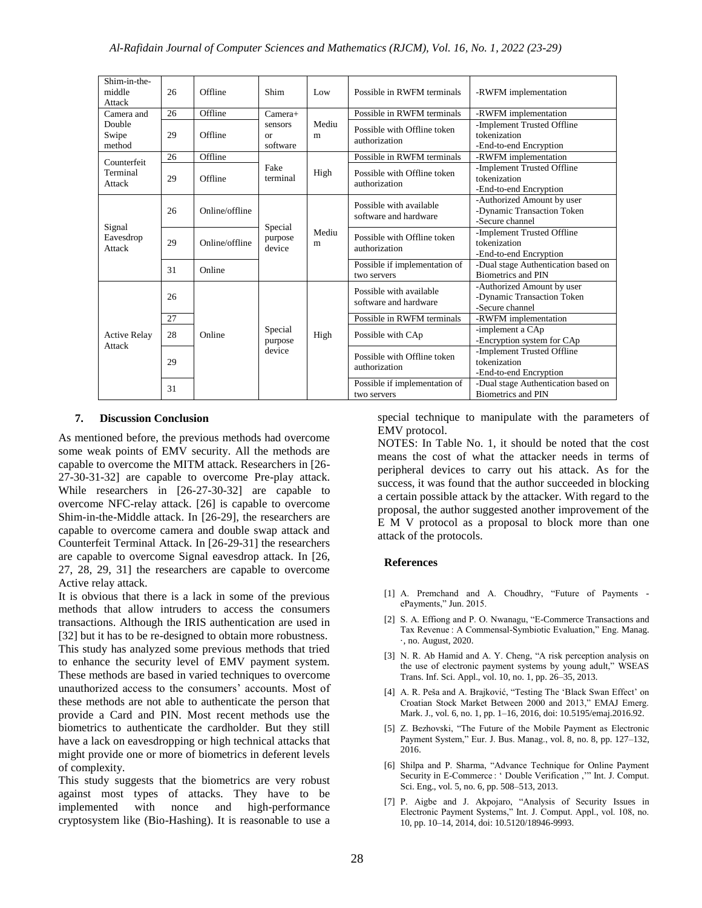| Shim-in-the-<br>middle<br>Attack        | 26 | Offline        | Shim                                              | Low        | Possible in RWFM terminals                       | -RWFM implementation                                                        |
|-----------------------------------------|----|----------------|---------------------------------------------------|------------|--------------------------------------------------|-----------------------------------------------------------------------------|
| Camera and<br>Double<br>Swipe<br>method | 26 | Offline        | $Camera+$<br>sensors<br><sub>or</sub><br>software | Mediu<br>m | Possible in RWFM terminals                       | -RWFM implementation                                                        |
|                                         | 29 | Offline        |                                                   |            | Possible with Offline token<br>authorization     | -Implement Trusted Offline<br>tokenization<br>-End-to-end Encryption        |
| Counterfeit<br>Terminal<br>Attack       | 26 | Offline        | Fake<br>terminal                                  | High       | Possible in RWFM terminals                       | -RWFM implementation                                                        |
|                                         | 29 | Offline        |                                                   |            | Possible with Offline token<br>authorization     | -Implement Trusted Offline<br>tokenization<br>-End-to-end Encryption        |
| Signal<br>Eavesdrop<br>Attack           | 26 | Online/offline | Special<br>purpose<br>device                      | Mediu<br>m | Possible with available<br>software and hardware | -Authorized Amount by user<br>-Dynamic Transaction Token<br>-Secure channel |
|                                         | 29 | Online/offline |                                                   |            | Possible with Offline token<br>authorization     | -Implement Trusted Offline<br>tokenization<br>-End-to-end Encryption        |
|                                         | 31 | Online         |                                                   |            | Possible if implementation of<br>two servers     | -Dual stage Authentication based on<br><b>Biometrics and PIN</b>            |
| <b>Active Relay</b><br>Attack           | 26 | Online         | Special<br>purpose<br>device                      | High       | Possible with available<br>software and hardware | -Authorized Amount by user<br>-Dynamic Transaction Token<br>-Secure channel |
|                                         | 27 |                |                                                   |            | Possible in RWFM terminals                       | -RWFM implementation                                                        |
|                                         | 28 |                |                                                   |            | Possible with CAp                                | -implement a CAp<br>-Encryption system for CAp                              |
|                                         | 29 |                |                                                   |            | Possible with Offline token<br>authorization     | -Implement Trusted Offline<br>tokenization<br>-End-to-end Encryption        |
|                                         | 31 |                |                                                   |            | Possible if implementation of<br>two servers     | -Dual stage Authentication based on<br><b>Biometrics and PIN</b>            |

## **7. Discussion Conclusion**

As mentioned before, the previous methods had overcome some weak points of EMV security. All the methods are capable to overcome the MITM attack. Researchers in [26- 27-30-31-32] are capable to overcome Pre-play attack. While researchers in [26-27-30-32] are capable to overcome NFC-relay attack. [26] is capable to overcome Shim-in-the-Middle attack. In [26-29], the researchers are capable to overcome camera and double swap attack and Counterfeit Terminal Attack. In [26-29-31] the researchers are capable to overcome Signal eavesdrop attack. In [26, 27, 28, 29, 31] the researchers are capable to overcome Active relay attack.

It is obvious that there is a lack in some of the previous methods that allow intruders to access the consumers transactions. Although the IRIS authentication are used in [32] but it has to be re-designed to obtain more robustness. This study has analyzed some previous methods that tried to enhance the security level of EMV payment system. These methods are based in varied techniques to overcome unauthorized access to the consumers' accounts. Most of these methods are not able to authenticate the person that provide a Card and PIN. Most recent methods use the biometrics to authenticate the cardholder. But they still have a lack on eavesdropping or high technical attacks that might provide one or more of biometrics in deferent levels of complexity.

This study suggests that the biometrics are very robust against most types of attacks. They have to be implemented with nonce and high-performance cryptosystem like (Bio-Hashing). It is reasonable to use a special technique to manipulate with the parameters of EMV protocol.

NOTES: In Table No. 1, it should be noted that the cost means the cost of what the attacker needs in terms of peripheral devices to carry out his attack. As for the success, it was found that the author succeeded in blocking a certain possible attack by the attacker. With regard to the proposal, the author suggested another improvement of the E M V protocol as a proposal to block more than one attack of the protocols.

#### **References**

- [1] A. Premchand and A. Choudhry, "Future of Payments ePayments," Jun. 2015.
- [2] S. A. Effiong and P. O. Nwanagu, "E-Commerce Transactions and Tax Revenue : A Commensal-Symbiotic Evaluation," Eng. Manag. ·, no. August, 2020.
- [3] N. R. Ab Hamid and A. Y. Cheng, "A risk perception analysis on the use of electronic payment systems by young adult," WSEAS Trans. Inf. Sci. Appl., vol. 10, no. 1, pp. 26–35, 2013.
- [4] A. R. Peša and A. Brajković, "Testing The 'Black Swan Effect' on Croatian Stock Market Between 2000 and 2013," EMAJ Emerg. Mark. J., vol. 6, no. 1, pp. 1–16, 2016, doi: 10.5195/emaj.2016.92.
- [5] Z. Bezhovski, "The Future of the Mobile Payment as Electronic Payment System," Eur. J. Bus. Manag., vol. 8, no. 8, pp. 127-132, 2016.
- [6] Shilpa and P. Sharma, "Advance Technique for Online Payment Security in E-Commerce : 'Double Verification ," Int. J. Comput. Sci. Eng., vol. 5, no. 6, pp. 508–513, 2013.
- [7] P. Aigbe and J. Akpojaro, "Analysis of Security Issues in Electronic Payment Systems," Int. J. Comput. Appl., vol. 108, no. 10, pp. 10–14, 2014, doi: 10.5120/18946-9993.